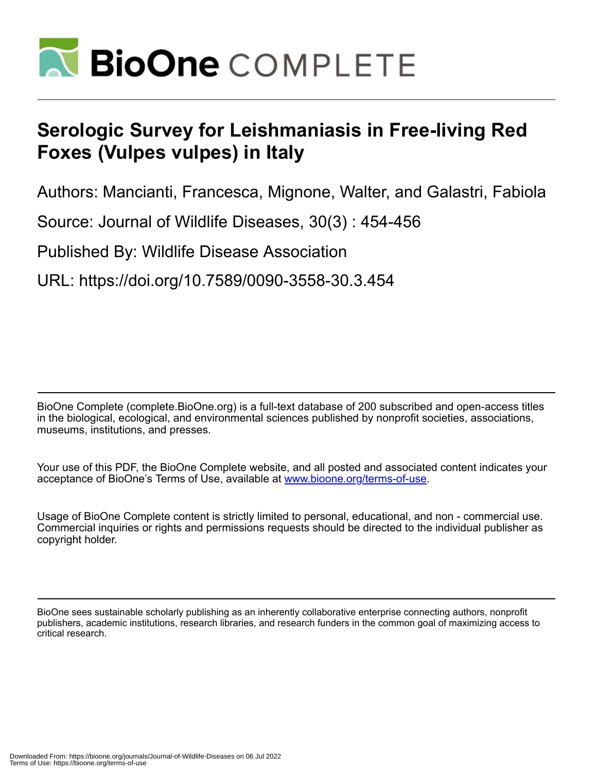

## **Serologic Survey for Leishmaniasis in Free-living Red Foxes (Vulpes vulpes) in Italy**

Authors: Mancianti, Francesca, Mignone, Walter, and Galastri, Fabiola

Source: Journal of Wildlife Diseases, 30(3) : 454-456

Published By: Wildlife Disease Association

URL: https://doi.org/10.7589/0090-3558-30.3.454

BioOne Complete (complete.BioOne.org) is a full-text database of 200 subscribed and open-access titles in the biological, ecological, and environmental sciences published by nonprofit societies, associations, museums, institutions, and presses.

Your use of this PDF, the BioOne Complete website, and all posted and associated content indicates your acceptance of BioOne's Terms of Use, available at www.bioone.org/terms-of-use.

Usage of BioOne Complete content is strictly limited to personal, educational, and non - commercial use. Commercial inquiries or rights and permissions requests should be directed to the individual publisher as copyright holder.

BioOne sees sustainable scholarly publishing as an inherently collaborative enterprise connecting authors, nonprofit publishers, academic institutions, research libraries, and research funders in the common goal of maximizing access to critical research.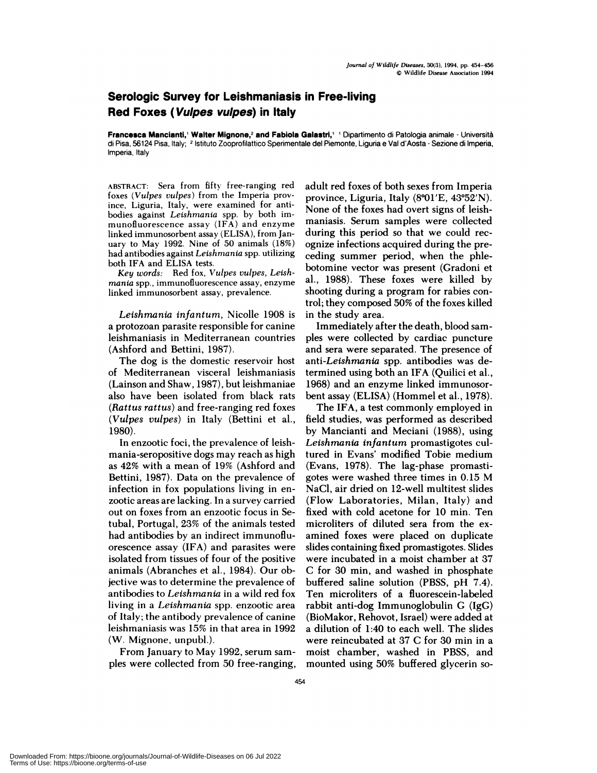## **Serologic Survey for Leishmaniasis in Free-living Red Foxes (Vulpes vulpes) in Italy**

**Francesca Mancianti,' Walter Mignone,<sup>2</sup> and Fabiola Galastri,' ' Dipartimento di Patologia animale - Università** di Pisa, 56124 Pisa, Italy; <sup>2</sup> Istituto Zooprofilattico Sperimentale del Piemonte, Liguria e Val d'Aosta - Sezione di Imperia, Imperia, Italy

**ABSTRACT:** Sera from fifty free-ranging red foxes *(Vulpes vulpes)* from the Imperia province, Liguria, Italy, were examined for antibodies against *Leishmania* spp. by both im munofluorescence assay (IFA) and enzyme linked immunosorbent assay (ELISA), from Jan uary to May 1992. Nine of 50 animals (18%) had antibodies against *Leishmania* spp. utilizing both IFA and ELISA tests.

*Key words:* Red fox, *Vulpes vulpes, Leishmania* spp. **,** immunofluorescence assay, enzyme linked immunosorbent assay, prevalence.

Leishmania *infantum*, Nicolle 1908 is a protozoan parasite responsible for canine leishmaniasis in Mediterranean countries (Ashford and Bettini, 1987).

The dog is the domestic reservoir host of Mediterranean visceral leishmaniasis  $(Lainson and Shaw, 1987)$ , but leishmaniae also have been isolated from black rats **(***Rattus rattus)* and free-ranging red foxes *(Vulpes vulpes)* in Italy (Bettini et a!., 1980).

In enzootic foci, the prevalence of leishmania-seropositive dogs may reach as high as 42% with a mean of 19% (Ashford and Bettini, 1987). Data on the prevalence of infection in fox populations living in en zootic areas are lacking. In a survey carried out on foxes from an enzootic focus in Setubal, Portugal, 23% of the animals tested had antibodies by an indirect immunoflu orescence assay (IFA) and parasites were isolated from tissues of four of the positive animals (Abranches et a!., 1984). Our objective was to determine the prevalence of antibodies to *Leishmania* in a wild red fox living in a *Leishmania* spp. enzootic area of Italy; the antibody prevalence of canine leishmaniasis was 15% in that area in 1992 (W. Mignone, unpubl.).

From January to May 1992, serum sam-ples were collected from <sup>50</sup> free-ranging,

adult red foxes of both sexes from Impenia province, Liguria, Italy  $(8°01'E, 43°52'N)$ . None of the foxes had overt signs of leishmaniasis. Serum samples were collected during this period so that we could recognize infections acquired during the preceding summer period, when the phlebotomine vector was present (Gradoni et a!., 1988). These foxes were killed by shooting during a program for rabies control; they composed 50% of the foxes killed in the study area.

Immediately after the death, blood sam ples were collected by cardiac puncture and sera were separated. The presence of anti-Leishmania spp. antibodies was determined using both an IFA (Quilici et al., 1968) and an enzyme linked immunosorbent assay (ELISA) (Hommel et al., 1978).

The IFA, a test commonly employed in field studies, was performed as described by Mancianti and Meciani (1988), using *Leishmania infantum* promastigotes cultuned in Evans' modified Tobie medium (Evans, 1978). The lag-phase promastigotes were washed three times in 0.15 M NaCl, air dried on 12-well multitest slides (Flow Laboratories, Milan, Italy) and fixed with cold acetone for 10 min. Ten microliters of diluted sera from the examined foxes were placed on duplicate slides containing fixed promastigotes. Slides were incubated in a moist chamber at 37 C for 30 min, and washed in phosphate buffered saline solution (PBSS, pH 7.4). Ten microliters of a fluorescein-labeled rabbit anti-dog Immunoglobulin  $G$  (IgG) (BioMakor, Rehovot, Israel) were added at a dilution of 1:40 to each well. The slides were reincubated at 37 C for 30 min in a moist chamber, washed in PBSS, and mounted using 50% buffered glycerin so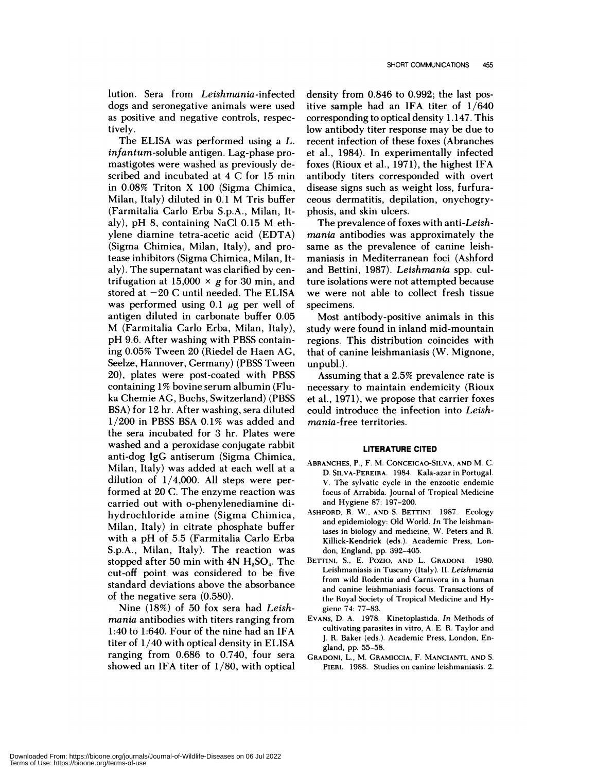lution. Sera from Leishmania-infected dogs and seronegative animals were used as positive and negative controls, respectively.

The ELISA was performed using a *L. infantum-soluble* antigen. Lag-phase promastigotes were washed as previously described and incubated at 4 C for 15 min in 0.08% Triton X 100 (Sigma Chimica, Milan, Italy) diluted in 0.1 M Tris buffer (Farmitalia Carlo Erba S.p.A., Milan, Italy), pH 8, containing NaCl 0.15 M ethylene diamine tetna-acetic acid (EDTA) (Sigma Chimica, Milan, Italy), and protease inhibitors (Sigma Chimica, Milan, Italy). The supernatant was clarified by centrifugation at 15,000  $\times$  g for 30 min, and stored at  $-20$  C until needed. The ELISA was performed using 0.1  $\mu$ g per well of antigen diluted in carbonate buffer 0.05 M (Farmitalia Carlo Erba, Milan, Italy), pH 9.6. After washing with PBSS containing 0.05% Tween 20 (Riedel de Haen AG, Seelze, Hannoven, Germany) (PBSS Tween 20), plates were post-coated with PBSS containing 1 % bovine serum albumin (Fluka Chemie AG, Buchs, Switzerland) (PBSS BSA) for 12 hr. After washing, sera diluted 1/200 in PBSS BSA 0.1% was added and the sera incubated for 3 hr. Plates were washed and a peroxidase conjugate rabbit anti-dog IgG antiserum (Sigma Chimica, Milan, Italy) was added at each well at a dilution of  $1/4,000$ . All steps were performed at 20 C. The enzyme reaction was carried out with o-phenylenediamine dihydrochloride amine (Sigma Chimica, Milan, Italy) in citrate phosphate buffer with a pH of 5.5 (Farmitalia Carlo Erba S.p.A., Milan, Italy). The reaction was stopped after 50 min with  $4N$  H<sub>2</sub>SO<sub>4</sub>. The cut-off point was considered to be five standard deviations above the absorbance of the negative sera (0.580).

Nine (18%) of 50 fox sera had *Leishmania* antibodies with titers ranging from 1:40 to 1:640. Four of the nine had an IFA titer of 1/40 with optical density in ELISA ranging from 0.686 to 0.740, four sera showed an IFA titer of 1/80, with optical

density from 0.846 to 0.992; the last positive sample had an IFA titer of 1/640 corresponding to optical density 1 **.**147. This low antibody titer response may be due to recent infection of these foxes (Abranches et a!., 1984). In experimentally infected foxes (Rioux et al., 1971), the highest IFA antibody titers corresponded with overt disease signs such as weight loss, furfuna ceous dermatitis, depilation, onychogryphosis, and skin ulcers.

The prevalence of foxes with *anti-Leishmania* antibodies was approximately the same as the prevalence of canine leishmaniasis in Mediterranean foci (Ashfond and Bettini, 1987). *Leishmania* spp. culture isolations were not attempted because we were not able to collect fresh tissue specimens.

Most antibody-positive animals in this study were found in inland mid-mountain regions. This distribution coincides with that of canine leishmaniasis (W. Mignone, unpub!.).

Assuming that a 2.5% prevalence rate is necessary to maintain endemicity (Rioux et a!., 1971), we propose that carrier foxes could introduce the infection into *Leish*mania-free territories.

## **LITERATURE CITED**

- ABRANCHES, **P. , F. M. CONCEICAO-SILVA, AND** M. C. D. **SILVA-PEREIRA.** 1984. Kala-azar in Portugal. V. The sylvatie cycle in the enzootic endemic focus of Arrabida. Journal of Tropical Medicine and Hygiene 87: 197-200.
- **ASHFORD,** R. W., AND S. BETTINI. 1987. Ecology and epidemiology: Old World. *In* The leishmaniases in biology and medicine, W. Peters and R. Killick-Kendrick (eds.). Academic Press, Lon don, England, pp. 392-405.
- **BETTINI,** S., E. Pozlo, AND L. GRADONI. 1980. Leishmaniasis in Tuscany (Italy). II. *Leishmania* from wild Rodentia and Carnivora in a human and canine leishmaniasis focus. Transactions of the Royal Society of Tropical Medicine and Hygiene 74: 77-83.
- EVANS, D. A. 1978. Kinetoplastida. *In* Methods of cultivating parasites in vitro, A. E. R. Taylor and J. R. Baker (eds.). Academic Press, London, England, pp. 55-58.
- **CRADONI, L., M. GRAMICCIA,** F. **MANCIANTI, AND** S. **PIER!.** 1988. Studies on canine leishmaniasis. 2.